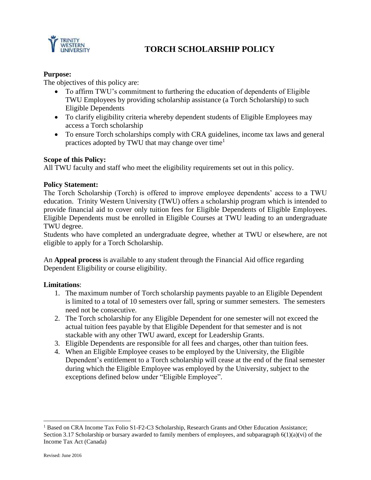

# **TORCH SCHOLARSHIP POLICY**

## **Purpose:**

The objectives of this policy are:

- To affirm TWU's commitment to furthering the education of dependents of Eligible TWU Employees by providing scholarship assistance (a Torch Scholarship) to such Eligible Dependents
- To clarify eligibility criteria whereby dependent students of Eligible Employees may access a Torch scholarship
- To ensure Torch scholarships comply with CRA guidelines, income tax laws and general practices adopted by TWU that may change over time<sup>1</sup>

## **Scope of this Policy:**

All TWU faculty and staff who meet the eligibility requirements set out in this policy.

#### **Policy Statement:**

The Torch Scholarship (Torch) is offered to improve employee dependents' access to a TWU education. Trinity Western University (TWU) offers a scholarship program which is intended to provide financial aid to cover only tuition fees for Eligible Dependents of Eligible Employees. Eligible Dependents must be enrolled in Eligible Courses at TWU leading to an undergraduate TWU degree.

Students who have completed an undergraduate degree, whether at TWU or elsewhere, are not eligible to apply for a Torch Scholarship.

An **Appeal process** is available to any student through the Financial Aid office regarding Dependent Eligibility or course eligibility.

#### **Limitations**:

- 1. The maximum number of Torch scholarship payments payable to an Eligible Dependent is limited to a total of 10 semesters over fall, spring or summer semesters. The semesters need not be consecutive.
- 2. The Torch scholarship for any Eligible Dependent for one semester will not exceed the actual tuition fees payable by that Eligible Dependent for that semester and is not stackable with any other TWU award, except for Leadership Grants.
- 3. Eligible Dependents are responsible for all fees and charges, other than tuition fees.
- 4. When an Eligible Employee ceases to be employed by the University, the Eligible Dependent's entitlement to a Torch scholarship will cease at the end of the final semester during which the Eligible Employee was employed by the University, subject to the exceptions defined below under "Eligible Employee".

 $\overline{\phantom{a}}$ 

<sup>&</sup>lt;sup>1</sup> Based on CRA Income Tax Folio S1-F2-C3 Scholarship, Research Grants and Other Education Assistance; Section 3.17 Scholarship or bursary awarded to family members of employees, and subparagraph  $6(1)(a)(vi)$  of the Income Tax Act (Canada)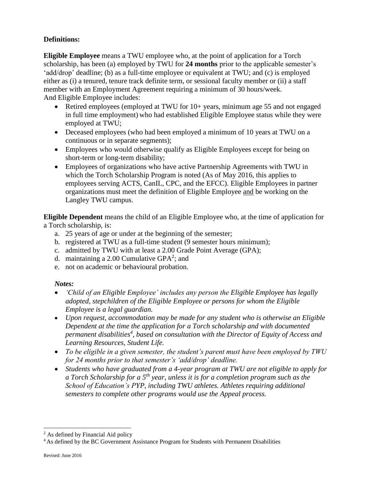# **Definitions:**

**Eligible Employee** means a TWU employee who, at the point of application for a Torch scholarship, has been (a) employed by TWU for **24 months** prior to the applicable semester's 'add/drop' deadline; (b) as a full-time employee or equivalent at TWU; and (c) is employed either as (i) a tenured, tenure track definite term, or sessional faculty member or (ii) a staff member with an Employment Agreement requiring a minimum of 30 hours/week. And Eligible Employee includes:

- Retired employees (employed at TWU for 10+ years, minimum age 55 and not engaged in full time employment) who had established Eligible Employee status while they were employed at TWU;
- Deceased employees (who had been employed a minimum of 10 years at TWU on a continuous or in separate segments);
- Employees who would otherwise qualify as Eligible Employees except for being on short-term or long-term disability;
- Employees of organizations who have active Partnership Agreements with TWU in which the Torch Scholarship Program is noted (As of May 2016, this applies to employees serving ACTS, CanIL, CPC, and the EFCC). Eligible Employees in partner organizations must meet the definition of Eligible Employee and be working on the Langley TWU campus.

**Eligible Dependent** means the child of an Eligible Employee who, at the time of application for a Torch scholarship, is:

- a. 25 years of age or under at the beginning of the semester;
- b. registered at TWU as a full-time student (9 semester hours minimum);
- c. admitted by TWU with at least a 2.00 Grade Point Average (GPA);
- d. maintaining a 2.00 Cumulative GPA<sup>2</sup>; and
- e. not on academic or behavioural probation.

# *Notes:*

- *'Child of an Eligible Employee' includes any person the Eligible Employee has legally adopted, stepchildren of the Eligible Employee or persons for whom the Eligible Employee is a legal guardian.*
- *Upon request, accommodation may be made for any student who is otherwise an Eligible Dependent at the time the application for a Torch scholarship and with documented permanent disabilities<sup>4</sup> , based on consultation with the Director of Equity of Access and Learning Resources, Student Life.*
- *To be eligible in a given semester, the student's parent must have been employed by TWU for 24 months prior to that semester's 'add/drop' deadline.*
- *Students who have graduated from a 4-year program at TWU are not eligible to apply for a Torch Scholarship for a 5th year, unless it is for a completion program such as the School of Education's PYP, including TWU athletes. Athletes requiring additional semesters to complete other programs would use the Appeal process.*

l

<sup>2</sup> As defined by Financial Aid policy

<sup>&</sup>lt;sup>4</sup> As defined by the BC Government Assistance Program for Students with Permanent Disabilities